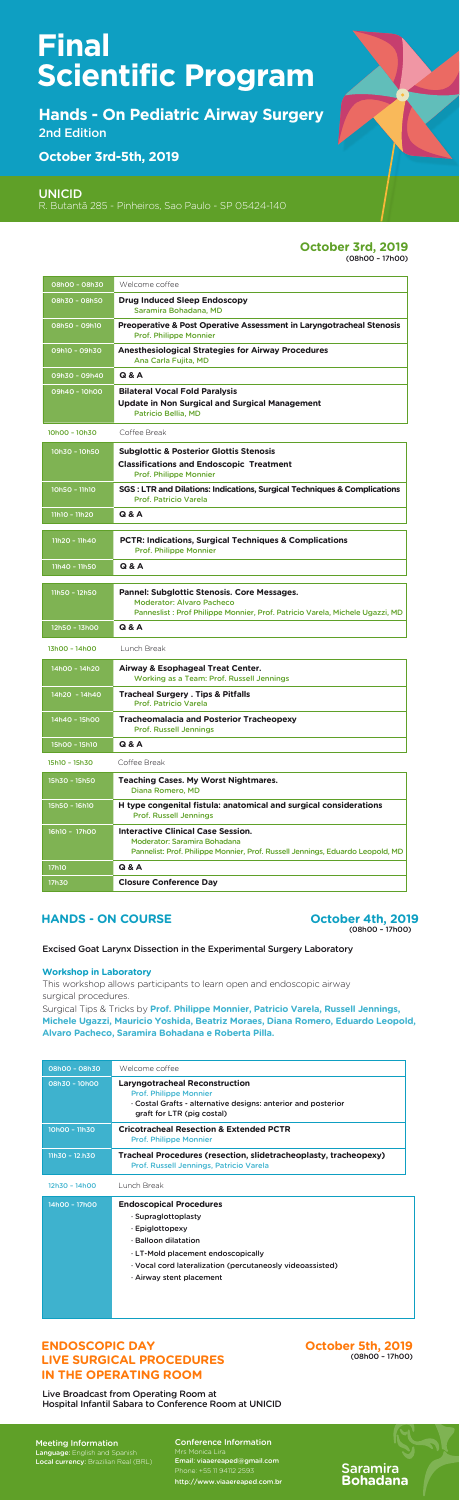Saramira **Bohadana**

**Hands - On Pediatric Airway Surgery**  2nd Edition

Meeting Information Language: English and Spanish Local currency: Brazilian Real (BRL)

**October 3rd-5th, 2019**

UNICID

R. Butantã 285 - Pinheiros, Sao Paulo - SP 05424-140

Conference Information Email: viaaereaped@gmail.com Phone: +55 11 94112 2593

# **October 3rd, 2019**

(08h00 – 17h00)

| 08h00 - 08h30   | Welcome coffee                                                                                                                                                          |
|-----------------|-------------------------------------------------------------------------------------------------------------------------------------------------------------------------|
| 08h30 - 08h50   | <b>Drug Induced Sleep Endoscopy</b><br>Saramira Bohadana, MD                                                                                                            |
| 08h50 - 09h10   | <b>Preoperative &amp; Post Operative Assessment in Laryngotracheal Stenosis</b><br><b>Prof. Philippe Monnier</b>                                                        |
| 09h10 - 09h30   | <b>Anesthesiological Strategies for Airway Procedures</b><br>Ana Carla Fujita, MD                                                                                       |
| 09h30 - 09h40   | <b>Q &amp; A</b>                                                                                                                                                        |
| 09h40 - 10h00   | <b>Bilateral Vocal Fold Paralysis</b><br><b>Update in Non Surgical and Surgical Management</b><br><b>Patricio Bellia, MD</b>                                            |
| 10h00 - 10h30   | Coffee Break                                                                                                                                                            |
| 10h30 - 10h50   | <b>Subglottic &amp; Posterior Glottis Stenosis</b><br><b>Classifications and Endoscopic Treatment</b><br><b>Prof. Philippe Monnier</b>                                  |
| 10h50 - 11h10   | SGS: LTR and Dilations: Indications, Surgical Techniques & Complications<br><b>Prof. Patricio Varela</b>                                                                |
| 11h10 - 11h20   | <b>Q &amp; A</b>                                                                                                                                                        |
| 11h20 - 11h40   | <b>PCTR: Indications, Surgical Techniques &amp; Complications</b><br><b>Prof. Philippe Monnier</b>                                                                      |
| 11h40 - 11h50   | Q & A                                                                                                                                                                   |
| 11h50 - 12h50   | <b>Pannel: Subglottic Stenosis. Core Messages.</b><br><b>Moderator: Alvaro Pacheco</b><br>Panneslist : Prof Philippe Monnier, Prof. Patricio Varela, Michele Ugazzi, MD |
| 12h50 - 13h00   | <b>Q &amp; A</b>                                                                                                                                                        |
| 13h00 - 14h00   | Lunch Break                                                                                                                                                             |
| 14h00 - 14h20   | <b>Airway &amp; Esophageal Treat Center.</b><br><b>Working as a Team: Prof. Russell Jennings</b>                                                                        |
| $14h20 - 14h40$ | <b>Tracheal Surgery . Tips &amp; Pitfalls</b><br><b>Prof. Patricio Varela</b>                                                                                           |
| 14h40 - 15h00   | <b>Tracheomalacia and Posterior Tracheopexy</b><br><b>Prof. Russell Jennings</b>                                                                                        |
| 15h00 - 15h10   | <b>Q &amp; A</b>                                                                                                                                                        |
| 15h10 - 15h30   | Coffee Break                                                                                                                                                            |
| 15h30 - 15h50   | <b>Teaching Cases. My Worst Nightmares.</b><br>Diana Romero, MD                                                                                                         |
| 15h50 - 16h10   | H type congenital fistula: anatomical and surgical considerations<br><b>Prof. Russell Jennings</b>                                                                      |
| 16h10 - 17h00   | <b>Interactive Clinical Case Session.</b><br><b>Moderator: Saramira Bohadana</b><br>Pannelist: Prof. Philippe Monnier, Prof. Russell Jennings, Eduardo Leopold, MD      |
| <b>17h10</b>    | Q & A                                                                                                                                                                   |
| 17h30           | <b>Closure Conference Day</b>                                                                                                                                           |

**HANDS - ON COURSE October 4th, 2019**<br>
(08h00 – 17h00)

**ENDOSCOPIC DAY LIVE SURGICAL PROCEDURES IN THE OPERATING ROOM** 

Excised Goat Larynx Dissection in the Experimental Surgery Laboratory

### **Workshop in Laboratory**

This workshop allows participants to learn open and endoscopic airway surgical procedures.

Surgical Tips & Tricks by **Prof. Philippe Monnier, Patricio Varela, Russell Jennings, Michele Ugazzi, Mauricio Yoshida, Beatriz Moraes, Diana Romero, Eduardo Leopold, Alvaro Pacheco, Saramira Bohadana e Roberta Pilla.**

| 08h00 - 08h30  | Welcome coffee                                                                                                                                                                                                                              |
|----------------|---------------------------------------------------------------------------------------------------------------------------------------------------------------------------------------------------------------------------------------------|
| 08h30 - 10h00  | <b>Laryngotracheal Reconstruction</b><br><b>Prof. Philippe Monnier</b><br>· Costal Grafts - alternative designs: anterior and posterior<br>graft for LTR (pig costal)                                                                       |
| 10h00 - 11h30  | <b>Cricotracheal Resection &amp; Extended PCTR</b><br><b>Prof. Philippe Monnier</b>                                                                                                                                                         |
| 11h30 - 12.h30 | Tracheal Procedures (resection, slidetracheoplasty, tracheopexy)<br>Prof. Russell Jennings, Patricio Varela                                                                                                                                 |
| 12h30 - 14h00  | Lunch Break                                                                                                                                                                                                                                 |
| 14h00 - 17h00  | <b>Endoscopical Procedures</b><br>· Supraglottoplasty<br>· Epiglottopexy<br>$\cdot$ Balloon dilatation<br>· LT-Mold placement endoscopically<br>· Vocal cord lateralization (percutaneosly videoassisted)<br>$\cdot$ Airway stent placement |

### Live Broadcast from Operating Room at Hospital Infantil Sabara to Conference Room at UNICID

# **Final Scientific Program**

**October 5th, 2019** (08h00 – 17h00)

http://www.viaaereaped.com.br